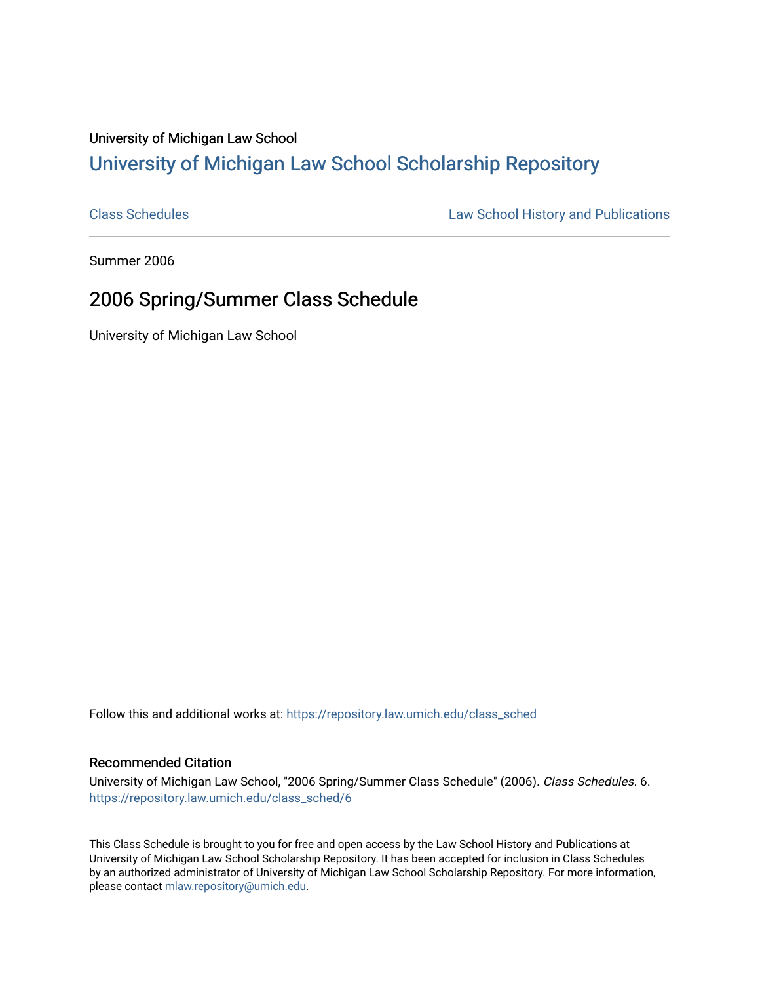## University of Michigan Law School [University of Michigan Law School Scholarship Repository](https://repository.law.umich.edu/)

[Class Schedules](https://repository.law.umich.edu/class_sched) **Law School History and Publications** 

Summer 2006

## 2006 Spring/Summer Class Schedule

University of Michigan Law School

Follow this and additional works at: [https://repository.law.umich.edu/class\\_sched](https://repository.law.umich.edu/class_sched?utm_source=repository.law.umich.edu%2Fclass_sched%2F6&utm_medium=PDF&utm_campaign=PDFCoverPages) 

## Recommended Citation

University of Michigan Law School, "2006 Spring/Summer Class Schedule" (2006). Class Schedules. 6. [https://repository.law.umich.edu/class\\_sched/6](https://repository.law.umich.edu/class_sched/6?utm_source=repository.law.umich.edu%2Fclass_sched%2F6&utm_medium=PDF&utm_campaign=PDFCoverPages) 

This Class Schedule is brought to you for free and open access by the Law School History and Publications at University of Michigan Law School Scholarship Repository. It has been accepted for inclusion in Class Schedules by an authorized administrator of University of Michigan Law School Scholarship Repository. For more information, please contact [mlaw.repository@umich.edu.](mailto:mlaw.repository@umich.edu)